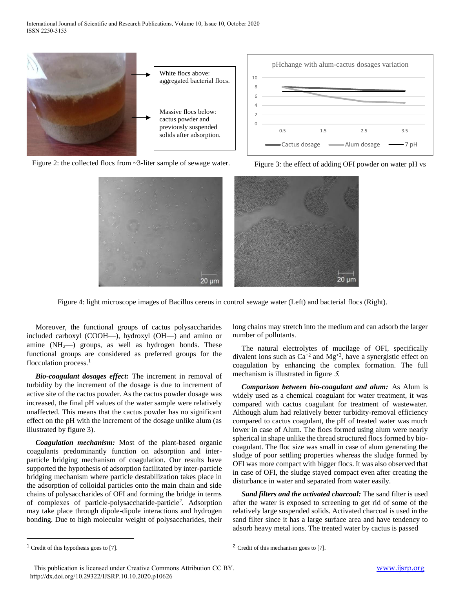

Figure 2: the collected flocs from ~3-liter sample of sewage water.



Figure 3: the effect of adding OFI powder on water pH vs



Figure 4: light microscope images of Bacillus cereus in control sewage water (Left) and bacterial flocs (Right).

Moreover, the functional groups of cactus polysaccharides included carboxyl (COOH—), hydroxyl (OH—) and amino or amine  $(NH_2)$  groups, as well as hydrogen bonds. These functional groups are considered as preferred groups for the flocculation process. $<sup>1</sup>$ </sup>

*Bio-coagulant dosages effect:* The increment in removal of turbidity by the increment of the dosage is due to increment of active site of the cactus powder. As the cactus powder dosage was increased, the final pH values of the water sample were relatively unaffected. This means that the cactus powder has no significant effect on the pH with the increment of the dosage unlike alum (as illustrated by figure 3).

*Coagulation mechanism:* Most of the plant-based organic coagulants predominantly function on adsorption and interparticle bridging mechanism of coagulation. Our results have supported the hypothesis of adsorption facilitated by inter-particle bridging mechanism where particle destabilization takes place in the adsorption of colloidal particles onto the main chain and side chains of polysaccharides of OFI and forming the bridge in terms of complexes of particle-polysaccharide-particle<sup>2</sup>. Adsorption may take place through dipole-dipole interactions and hydrogen bonding. Due to high molecular weight of polysaccharides, their

long chains may stretch into the medium and can adsorb the larger number of pollutants.

The natural electrolytes of mucilage of OFI, specifically divalent ions such as  $Ca^{+2}$  and  $Mg^{+2}$ , have a synergistic effect on coagulation by enhancing the complex formation. The full mechanism is illustrated in figure 5.

*Comparison between bio-coagulant and alum:* As Alum is widely used as a chemical coagulant for water treatment, it was compared with cactus coagulant for treatment of wastewater. Although alum had relatively better turbidity-removal efficiency compared to cactus coagulant, the pH of treated water was much lower in case of Alum. The flocs formed using alum were nearly spherical in shape unlike the thread structured flocs formed by biocoagulant. The floc size was small in case of alum generating the sludge of poor settling properties whereas the sludge formed by OFI was more compact with bigger flocs. It was also observed that in case of OFI, the sludge stayed compact even after creating the disturbance in water and separated from water easily.

*Sand filters and the activated charcoal:* The sand filter is used after the water is exposed to screening to get rid of some of the relatively large suspended solids. Activated charcoal is used in the sand filter since it has a large surface area and have tendency to adsorb heavy metal ions. The treated water by cactus is passed

 $1$  Credit of this hypothesis goes to [7].

<sup>2</sup> Credit of this mechanism goes to [7].

[This publication is licensed under Creative Common](http://dx.doi.org/10.29322/IJSRP.X.X.2018.pXXXX)s Attribution CC BY. http://dx.doi.org/10.29322/IJSRP.10.10.2020.p10626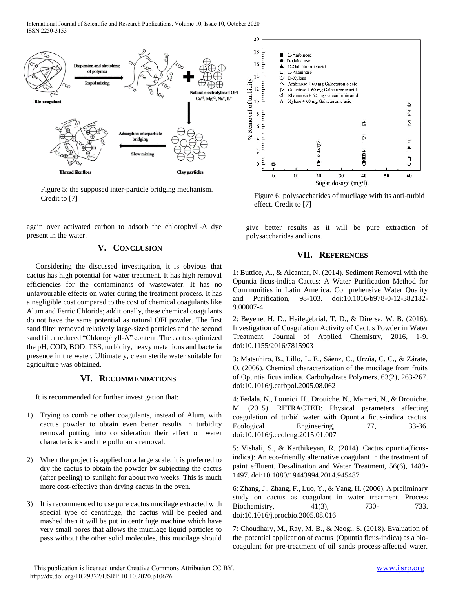International Journal of Scientific and Research Publications, Volume 10, Issue 10, October 2020 ISSN 2250-3153



Figure 5: the supposed inter-particle bridging mechanism. Credit to  $[7]$  Figure 6: polysaccharides of mucilage with its anti-turbid

again over activated carbon to adsorb the chlorophyll-A dye present in the water.

## **V. CONCLUSION**

Considering the discussed investigation, it is obvious that cactus has high potential for water treatment. It has high removal efficiencies for the contaminants of wastewater. It has no unfavourable effects on water during the treatment process. It has a negligible cost compared to the cost of chemical coagulants like Alum and Ferric Chloride; additionally, these chemical coagulants do not have the same potential as natural OFI powder. The first sand filter removed relatively large-sized particles and the second sand filter reduced "Chlorophyll-A" content. The cactus optimized the pH, COD, BOD, TSS, turbidity, heavy metal ions and bacteria presence in the water. Ultimately, clean sterile water suitable for agriculture was obtained.

## **VI. RECOMMENDATIONS**

It is recommended for further investigation that:

- 1) Trying to combine other coagulants, instead of Alum, with cactus powder to obtain even better results in turbidity removal putting into consideration their effect on water characteristics and the pollutants removal.
- 2) When the project is applied on a large scale, it is preferred to dry the cactus to obtain the powder by subjecting the cactus (after peeling) to sunlight for about two weeks. This is much more cost-effective than drying cactus in the oven.
- 3) It is recommended to use pure cactus mucilage extracted with special type of centrifuge, the cactus will be peeled and mashed then it will be put in centrifuge machine which have very small pores that allows the mucilage liquid particles to pass without the other solid molecules, this mucilage should



effect. Credit to [7]

give better results as it will be pure extraction of polysaccharides and ions.

## **VII. REFERENCES**

1: Buttice, A., & Alcantar, N. (2014). Sediment Removal with the Opuntia ficus-indica Cactus: A Water Purification Method for Communities in Latin America. Comprehensive Water Quality and Purification, 98-103. doi:10.1016/b978-0-12-382182- 9.00007-4

2: Beyene, H. D., Hailegebrial, T. D., & Dirersa, W. B. (2016). Investigation of Coagulation Activity of Cactus Powder in Water Treatment. Journal of Applied Chemistry, 2016, 1-9. doi:10.1155/2016/7815903

3: Matsuhiro, B., Lillo, L. E., Sáenz, C., Urzúa, C. C., & Zárate, O. (2006). Chemical characterization of the mucilage from fruits of Opuntia ficus indica. Carbohydrate Polymers, 63(2), 263-267. doi:10.1016/j.carbpol.2005.08.062

4: Fedala, N., Lounici, H., Drouiche, N., Mameri, N., & Drouiche, M. (2015). RETRACTED: Physical parameters affecting coagulation of turbid water with Opuntia ficus-indica cactus. Ecological Engineering, 77, 33-36. doi:10.1016/j.ecoleng.2015.01.007

5: Vishali, S., & Karthikeyan, R. (2014). Cactus opuntia(ficusindica): An eco-friendly alternative coagulant in the treatment of paint effluent. Desalination and Water Treatment, 56(6), 1489- 1497. doi:10.1080/19443994.2014.945487

6: Zhang, J., Zhang, F., Luo, Y., & Yang, H. (2006). A preliminary study on cactus as coagulant in water treatment. Process Biochemistry, 41(3), 730- 733. doi:10.1016/j.procbio.2005.08.016

7: Choudhary, M., Ray, M. B., & Neogi, S. (2018). Evaluation of the potential application of cactus (Opuntia ficus-indica) as a biocoagulant for pre-treatment of oil sands process-affected water.